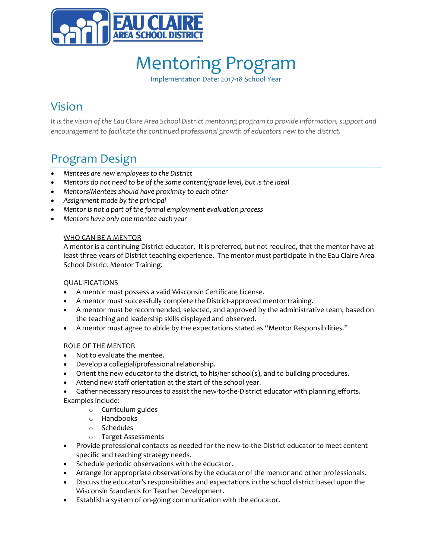

Implementation Date: 2017-18 School Year

## Vision

*It is the vision of the Eau Claire Area School District mentoring program to provide information, support and encouragement to facilitate the continued professional growth of educators new to the district.* 

## Program Design

- *Mentees are new employees to the District*
- *Mentors do not need to be of the same content/grade level, but is the ideal*
- *Mentors/Mentees should have proximity to each other*
- *Assignment made by the principal*
- *Mentor is not a part of the formal employment evaluation process*
- *Mentors have only one mentee each year*

### WHO CAN BE A MENTOR

A mentor is a continuing District educator. It is preferred, but not required, that the mentor have at least three years of District teaching experience. The mentor must participate in the Eau Claire Area School District Mentor Training.

### **QUALIFICATIONS**

- A mentor must possess a valid Wisconsin Certificate License.
- A mentor must successfully complete the District-approved mentor training.
- A mentor must be recommended, selected, and approved by the administrative team, based on the teaching and leadership skills displayed and observed.
- A mentor must agree to abide by the expectations stated as "Mentor Responsibilities."

### ROLE OF THE MENTOR

- Not to evaluate the mentee.
- Develop a collegial/professional relationship.
- Orient the new educator to the district, to his/her school(s), and to building procedures.
- Attend new staff orientation at the start of the school year.
- Gather necessary resources to assist the new-to-the-District educator with planning efforts. Examples include:
	- o Curriculum guides
	- o Handbooks
	- o Schedules
	- o Target Assessments
- Provide professional contacts as needed for the new-to-the-District educator to meet content specific and teaching strategy needs.
- Schedule periodic observations with the educator.
- Arrange for appropriate observations by the educator of the mentor and other professionals.
- Discuss the educator's responsibilities and expectations in the school district based upon the Wisconsin Standards for Teacher Development.
- Establish a system of on-going communication with the educator.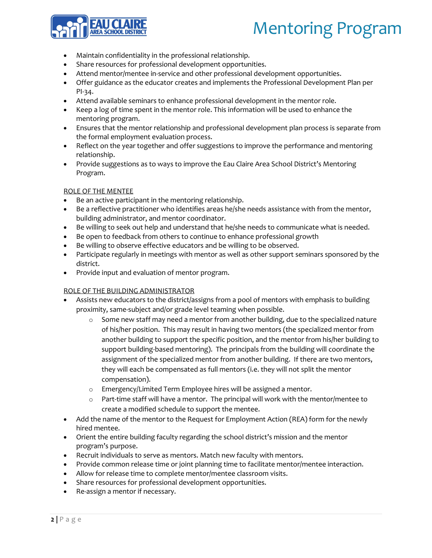

- Maintain confidentiality in the professional relationship.
- Share resources for professional development opportunities.
- Attend mentor/mentee in-service and other professional development opportunities.
- Offer guidance as the educator creates and implements the Professional Development Plan per PI-34.
- Attend available seminars to enhance professional development in the mentor role.
- Keep a log of time spent in the mentor role. This information will be used to enhance the mentoring program.
- Ensures that the mentor relationship and professional development plan process is separate from the formal employment evaluation process.
- Reflect on the year together and offer suggestions to improve the performance and mentoring relationship.
- Provide suggestions as to ways to improve the Eau Claire Area School District's Mentoring Program.

### ROLE OF THE MENTEE

- Be an active participant in the mentoring relationship.
- Be a reflective practitioner who identifies areas he/she needs assistance with from the mentor, building administrator, and mentor coordinator.
- Be willing to seek out help and understand that he/she needs to communicate what is needed.
- Be open to feedback from others to continue to enhance professional growth
- Be willing to observe effective educators and be willing to be observed.
- Participate regularly in meetings with mentor as well as other support seminars sponsored by the district.
- Provide input and evaluation of mentor program.

#### ROLE OF THE BUILDING ADMINISTRATOR

- Assists new educators to the district/assigns from a pool of mentors with emphasis to building proximity, same-subject and/or grade level teaming when possible.
	- $\circ$  Some new staff may need a mentor from another building, due to the specialized nature of his/her position. This may result in having two mentors (the specialized mentor from another building to support the specific position, and the mentor from his/her building to support building-based mentoring). The principals from the building will coordinate the assignment of the specialized mentor from another building. If there are two mentors, they will each be compensated as full mentors (i.e. they will not split the mentor compensation).
	- o Emergency/Limited Term Employee hires will be assigned a mentor.
	- $\circ$  Part-time staff will have a mentor. The principal will work with the mentor/mentee to create a modified schedule to support the mentee.
- Add the name of the mentor to the Request for Employment Action (REA) form for the newly hired mentee.
- Orient the entire building faculty regarding the school district's mission and the mentor program's purpose.
- Recruit individuals to serve as mentors. Match new faculty with mentors.
- Provide common release time or joint planning time to facilitate mentor/mentee interaction.
- Allow for release time to complete mentor/mentee classroom visits.
- Share resources for professional development opportunities.
- Re-assign a mentor if necessary.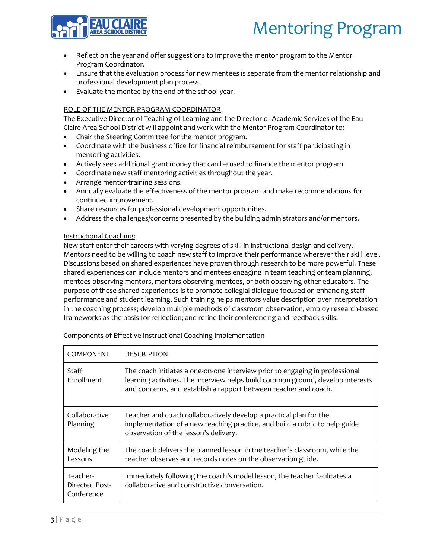

- Reflect on the year and offer suggestions to improve the mentor program to the Mentor Program Coordinator.
- Ensure that the evaluation process for new mentees is separate from the mentor relationship and professional development plan process.
- Evaluate the mentee by the end of the school year.

### ROLE OF THE MENTOR PROGRAM COORDINATOR

The Executive Director of Teaching of Learning and the Director of Academic Services of the Eau Claire Area School District will appoint and work with the Mentor Program Coordinator to:

- Chair the Steering Committee for the mentor program.
- Coordinate with the business office for financial reimbursement for staff participating in mentoring activities.
- Actively seek additional grant money that can be used to finance the mentor program.
- Coordinate new staff mentoring activities throughout the year.
- Arrange mentor-training sessions.
- Annually evaluate the effectiveness of the mentor program and make recommendations for continued improvement.
- Share resources for professional development opportunities.
- Address the challenges/concerns presented by the building administrators and/or mentors.

### Instructional Coaching:

New staff enter their careers with varying degrees of skill in instructional design and delivery. Mentors need to be willing to coach new staff to improve their performance wherever their skill level. Discussions based on shared experiences have proven through research to be more powerful. These shared experiences can include mentors and mentees engaging in team teaching or team planning, mentees observing mentors, mentors observing mentees, or both observing other educators. The purpose of these shared experiences is to promote collegial dialogue focused on enhancing staff performance and student learning. Such training helps mentors value description over interpretation in the coaching process; develop multiple methods of classroom observation; employ research-based frameworks as the basis for reflection; and refine their conferencing and feedback skills.

| COMPONENT                                | <b>DESCRIPTION</b>                                                                                                                                                                                                                  |
|------------------------------------------|-------------------------------------------------------------------------------------------------------------------------------------------------------------------------------------------------------------------------------------|
| Staff<br>Enrollment                      | The coach initiates a one-on-one interview prior to engaging in professional<br>learning activities. The interview helps build common ground, develop interests<br>and concerns, and establish a rapport between teacher and coach. |
| Collaborative<br>Planning                | Teacher and coach collaboratively develop a practical plan for the<br>implementation of a new teaching practice, and build a rubric to help guide<br>observation of the lesson's delivery.                                          |
| Modeling the<br>Lessons                  | The coach delivers the planned lesson in the teacher's classroom, while the<br>teacher observes and records notes on the observation guide.                                                                                         |
| Teacher-<br>Directed Post-<br>Conference | Immediately following the coach's model lesson, the teacher facilitates a<br>collaborative and constructive conversation.                                                                                                           |

Components of Effective Instructional Coaching Implementation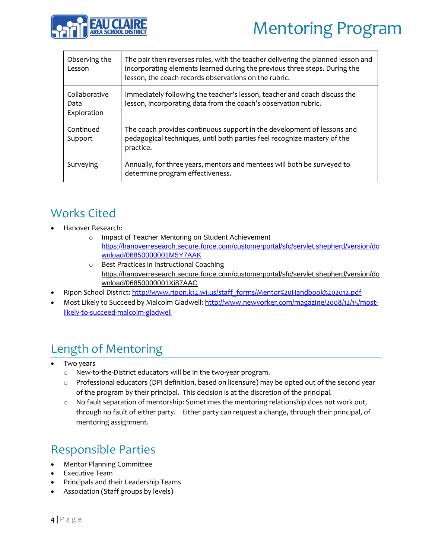

| Observing the<br>Lesson              | The pair then reverses roles, with the teacher delivering the planned lesson and<br>incorporating elements learned during the previous three steps. During the<br>lesson, the coach records observations on the rubric. |
|--------------------------------------|-------------------------------------------------------------------------------------------------------------------------------------------------------------------------------------------------------------------------|
| Collaborative<br>Data<br>Exploration | Immediately following the teacher's lesson, teacher and coach discuss the<br>lesson, incorporating data from the coach's observation rubric.                                                                            |
| Continued<br>Support                 | The coach provides continuous support in the development of lessons and<br>pedagogical techniques, until both parties feel recognize mastery of the<br>practice.                                                        |
| Surveying                            | Annually, for three years, mentors and mentees will both be surveyed to<br>determine program effectiveness.                                                                                                             |

## Works Cited

- Hanover Research:
	- o Impact of Teacher Mentoring on Student Achievement [https://hanoverresearch.secure.force.com/customerportal/sfc/servlet.shepherd/version/do](https://hanoverresearch.secure.force.com/customerportal/sfc/servlet.shepherd/version/download/06850000001M5Y7AAK) [wnload/06850000001M5Y7AAK](https://hanoverresearch.secure.force.com/customerportal/sfc/servlet.shepherd/version/download/06850000001M5Y7AAK)
	- o Best Practices in Instructional Coaching [https://hanoverresearch.secure.force.com/customerportal/sfc/servlet.shepherd/version/do](https://hanoverresearch.secure.force.com/customerportal/sfc/servlet.shepherd/version/download/06850000001Xi87AAC) [wnload/06850000001Xi87AAC](https://hanoverresearch.secure.force.com/customerportal/sfc/servlet.shepherd/version/download/06850000001Xi87AAC)
- Ripon School District[: http://www.ripon.k12.wi.us/staff\\_forms/Mentor%20Handbook%202012.pdf](http://www.ripon.k12.wi.us/staff_forms/Mentor%20Handbook%202012.pdf)
- Most Likely to Succeed by Malcolm Gladwell[: http://www.newyorker.com/magazine/2008/12/15/most](http://www.newyorker.com/magazine/2008/12/15/most-likely-to-succeed-malcolm-gladwell)[likely-to-succeed-malcolm-gladwell](http://www.newyorker.com/magazine/2008/12/15/most-likely-to-succeed-malcolm-gladwell)

## Length of Mentoring

- Two years
	- o New-to-the-District educators will be in the two-year program.
	- o Professional educators (DPI definition, based on licensure) may be opted out of the second year of the program by their principal. This decision is at the discretion of the principal.
	- $\circ$  No fault separation of mentorship: Sometimes the mentoring relationship does not work out, through no fault of either party. Either party can request a change, through their principal, of mentoring assignment.

## Responsible Parties

- Mentor Planning Committee
- Executive Team
- Principals and their Leadership Teams
- Association (Staff groups by levels)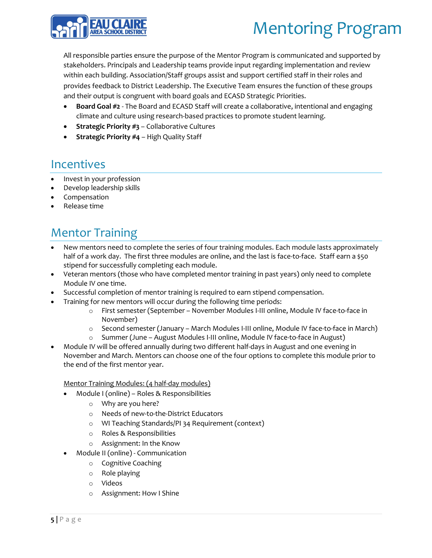

All responsible parties ensure the purpose of the Mentor Program is communicated and supported by stakeholders. Principals and Leadership teams provide input regarding implementation and review within each building. Association/Staff groups assist and support certified staff in their roles and provides feedback to District Leadership. The Executive Team ensures the function of these groups and their output is congruent with board goals and ECASD Strategic Priorities.

- **Board Goal #2**  The Board and ECASD Staff will create a collaborative, intentional and engaging climate and culture using research-based practices to promote student learning.
- **Strategic Priority #3** Collaborative Cultures
- **Strategic Priority #4** High Quality Staff

## **Incentives**

- Invest in your profession
- Develop leadership skills
- Compensation
- Release time

## Mentor Training

- New mentors need to complete the series of four training modules. Each module lasts approximately half of a work day. The first three modules are online, and the last is face-to-face. Staff earn a \$50 stipend for successfully completing each module.
- Veteran mentors (those who have completed mentor training in past years) only need to complete Module IV one time.
- Successful completion of mentor training is required to earn stipend compensation.
- Training for new mentors will occur during the following time periods:
	- o First semester (September November Modules I-III online, Module IV face-to-face in November)
	- o Second semester (January March Modules I-III online, Module IV face-to-face in March)
	- o Summer (June August Modules I-III online, Module IV face-to-face in August)
- Module IV will be offered annually during two different half-days in August and one evening in November and March. Mentors can choose one of the four options to complete this module prior to the end of the first mentor year.

Mentor Training Modules: (4 half-day modules)

- Module I (online) Roles & Responsibilities
	- o Why are you here?
	- o Needs of new-to-the-District Educators
	- o WI Teaching Standards/PI 34 Requirement (context)
	- o Roles & Responsibilities
	- o Assignment: In the Know
- Module II (online) Communication
	- o Cognitive Coaching
	- o Role playing
	- o Videos
	- o Assignment: How I Shine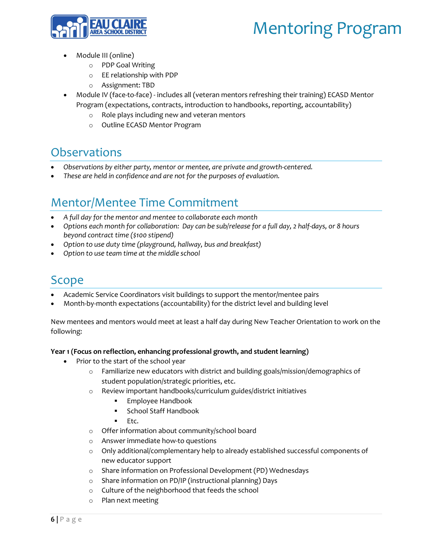

- Module III (online)
	- o PDP Goal Writing
	- o EE relationship with PDP
	- o Assignment: TBD
- Module IV (face-to-face) includes all (veteran mentors refreshing their training) ECASD Mentor Program (expectations, contracts, introduction to handbooks, reporting, accountability)
	- o Role plays including new and veteran mentors
	- o Outline ECASD Mentor Program

## **Observations**

- *Observations by either party, mentor or mentee, are private and growth-centered.*
- *These are held in confidence and are not for the purposes of evaluation.*

## Mentor/Mentee Time Commitment

- *A full day for the mentor and mentee to collaborate each month*
- *Options each month for collaboration: Day can be sub/release for a full day, 2 half-days, or 8 hours beyond contract time (\$100 stipend)*
- *Option to use duty time (playground, hallway, bus and breakfast)*
- *Option to use team time at the middle school*

## Scope

- Academic Service Coordinators visit buildings to support the mentor/mentee pairs
- Month-by-month expectations (accountability) for the district level and building level

New mentees and mentors would meet at least a half day during New Teacher Orientation to work on the following:

### **Year 1 (Focus on reflection, enhancing professional growth, and student learning)**

- Prior to the start of the school year
	- o Familiarize new educators with district and building goals/mission/demographics of student population/strategic priorities, etc.
	- o Review important handbooks/curriculum guides/district initiatives
		- Employee Handbook
		- **School Staff Handbook**
		- $F_{\text{t}}$
	- o Offer information about community/school board
	- o Answer immediate how-to questions
	- $\circ$  Only additional/complementary help to already established successful components of new educator support
	- o Share information on Professional Development (PD) Wednesdays
	- o Share information on PD/IP (instructional planning) Days
	- o Culture of the neighborhood that feeds the school
	- o Plan next meeting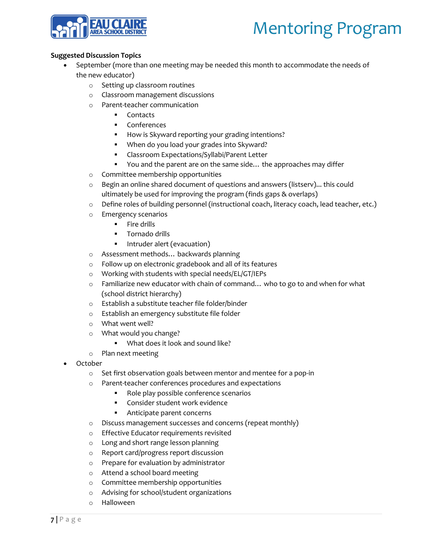

### **Suggested Discussion Topics**

- September (more than one meeting may be needed this month to accommodate the needs of the new educator)
	- o Setting up classroom routines
	- o Classroom management discussions
	- o Parent-teacher communication
		- **Contacts**
		- Conferences
		- How is Skyward reporting your grading intentions?
		- **When do you load your grades into Skyward?**
		- Classroom Expectations/Syllabi/Parent Letter
		- You and the parent are on the same side... the approaches may differ
	- o Committee membership opportunities
	- $\circ$  Begin an online shared document of questions and answers (listserv)... this could ultimately be used for improving the program (finds gaps & overlaps)
	- o Define roles of building personnel (instructional coach, literacy coach, lead teacher, etc.)
	- o Emergency scenarios
		- $\blacksquare$  Fire drills
		- **Tornado drills**
		- Intruder alert (evacuation)
	- o Assessment methods… backwards planning
	- o Follow up on electronic gradebook and all of its features
	- o Working with students with special needs/EL/GT/IEPs
	- $\circ$  Familiarize new educator with chain of command... who to go to and when for what (school district hierarchy)
	- o Establish a substitute teacher file folder/binder
	- o Establish an emergency substitute file folder
	- o What went well?
	- o What would you change?
		- What does it look and sound like?
	- o Plan next meeting
- October
	- o Set first observation goals between mentor and mentee for a pop-in
	- o Parent-teacher conferences procedures and expectations
		- Role play possible conference scenarios
		- **Consider student work evidence**
		- **Anticipate parent concerns**
	- o Discuss management successes and concerns (repeat monthly)
	- o Effective Educator requirements revisited
	- o Long and short range lesson planning
	- o Report card/progress report discussion
	- o Prepare for evaluation by administrator
	- o Attend a school board meeting
	- o Committee membership opportunities
	- o Advising for school/student organizations
	- o Halloween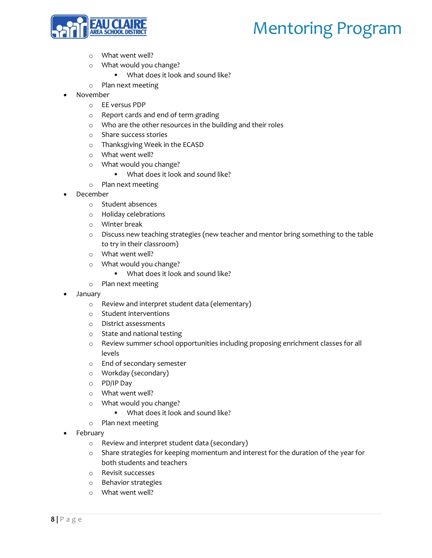

- o What went well?
- o What would you change?
	- What does it look and sound like?
- o Plan next meeting
- November
	- o EE versus PDP
	- o Report cards and end of term grading
	- o Who are the other resources in the building and their roles
	- o Share success stories
	- o Thanksgiving Week in the ECASD
	- o What went well?
	- o What would you change?
		- What does it look and sound like?
	- o Plan next meeting
- December
	- o Student absences
	- o Holiday celebrations
	- o Winter break
	- o Discuss new teaching strategies (new teacher and mentor bring something to the table to try in their classroom)
	- o What went well?
	- o What would you change?
		- What does it look and sound like?
	- o Plan next meeting
- January
	- o Review and interpret student data (elementary)
	- o Student interventions
	- o District assessments
	- o State and national testing
	- o Review summer school opportunities including proposing enrichment classes for all levels
	- o End of secondary semester
	- o Workday (secondary)
	- o PD/IP Day
	- o What went well?
	- o What would you change?
		- What does it look and sound like?
	- o Plan next meeting
- February
	- o Review and interpret student data (secondary)
	- o Share strategies for keeping momentum and interest for the duration of the year for both students and teachers
	- o Revisit successes
	- o Behavior strategies
	- o What went well?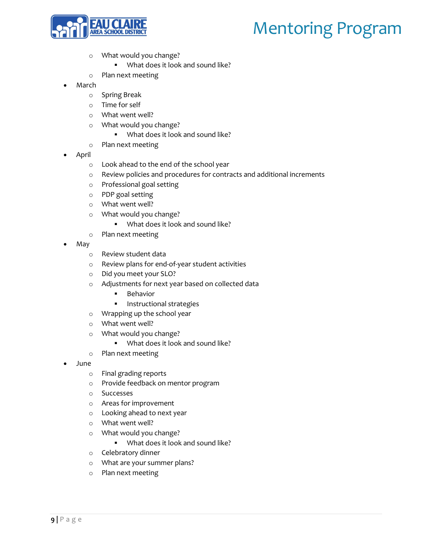

- o What would you change?
	- What does it look and sound like?
- o Plan next meeting
- March
	- o Spring Break
	- o Time for self
	- o What went well?
	- o What would you change?
		- What does it look and sound like?
	- o Plan next meeting
- April
	- o Look ahead to the end of the school year
	- o Review policies and procedures for contracts and additional increments
	- o Professional goal setting
	- o PDP goal setting
	- o What went well?
	- o What would you change?
		- What does it look and sound like?
	- o Plan next meeting
- May
	- o Review student data
	- o Review plans for end-of-year student activities
	- o Did you meet your SLO?
	- o Adjustments for next year based on collected data
		- Behavior
		- **Instructional strategies**
	- o Wrapping up the school year
	- o What went well?
	- o What would you change?
		- What does it look and sound like?
	- o Plan next meeting
- June
	- o Final grading reports
	- o Provide feedback on mentor program
	- o Successes
	- o Areas for improvement
	- o Looking ahead to next year
	- o What went well?
	- o What would you change?
		- What does it look and sound like?
	- o Celebratory dinner
	- o What are your summer plans?
	- o Plan next meeting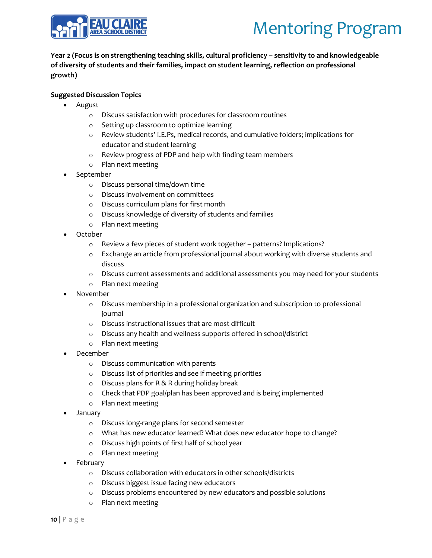

### **Year 2 (Focus is on strengthening teaching skills, cultural proficiency – sensitivity to and knowledgeable of diversity of students and their families, impact on student learning, reflection on professional growth)**

### **Suggested Discussion Topics**

- August
	- o Discuss satisfaction with procedures for classroom routines
	- o Setting up classroom to optimize learning
	- o Review students' I.E.Ps, medical records, and cumulative folders; implications for educator and student learning
	- o Review progress of PDP and help with finding team members
	- o Plan next meeting
- September
	- o Discuss personal time/down time
	- o Discuss involvement on committees
	- o Discuss curriculum plans for first month
	- o Discuss knowledge of diversity of students and families
	- o Plan next meeting
- October
	- o Review a few pieces of student work together patterns? Implications?
	- o Exchange an article from professional journal about working with diverse students and discuss
	- $\circ$  Discuss current assessments and additional assessments you may need for your students
	- o Plan next meeting
- November
	- $\circ$  Discuss membership in a professional organization and subscription to professional journal
	- o Discuss instructional issues that are most difficult
	- o Discuss any health and wellness supports offered in school/district
	- o Plan next meeting
- December
	- o Discuss communication with parents
	- o Discuss list of priorities and see if meeting priorities
	- o Discuss plans for R & R during holiday break
	- o Check that PDP goal/plan has been approved and is being implemented
	- o Plan next meeting
- January
	- o Discuss long-range plans for second semester
	- o What has new educator learned? What does new educator hope to change?
	- o Discuss high points of first half of school year
	- o Plan next meeting
- February
	- o Discuss collaboration with educators in other schools/districts
	- o Discuss biggest issue facing new educators
	- o Discuss problems encountered by new educators and possible solutions
	- o Plan next meeting